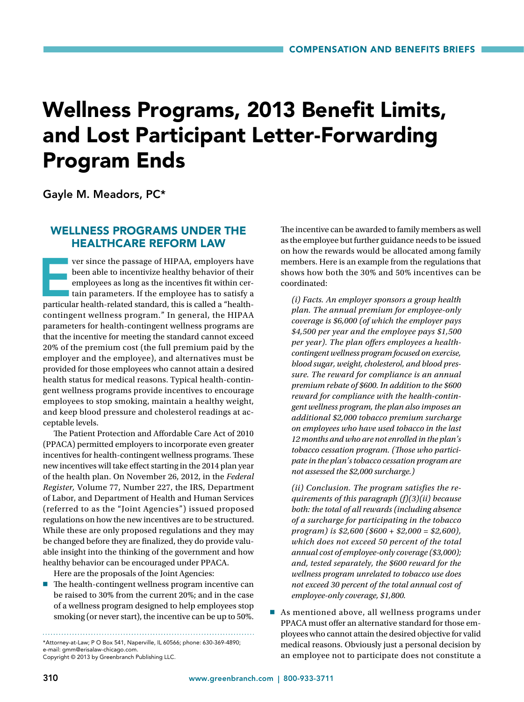## Wellness Programs, 2013 Benefit Limits, and Lost Participant Letter-Forwarding Program Ends

Gayle M. Meadors, PC\*

## WELLNESS PROGRAMS UNDER THE HEALTHCARE REFORM LAW

ver since the passage of HIPAA, employers have<br>been able to incentivize healthy behavior of their<br>employees as long as the incentives fit within cer-<br>tain parameters. If the employee has to satisfy a<br>particular health-rela been able to incentivize healthy behavior of their employees as long as the incentives fit within certain parameters. If the employee has to satisfy a particular health-related standard, this is called a "healthcontingent wellness program." In general, the HIPAA parameters for health-contingent wellness programs are that the incentive for meeting the standard cannot exceed 20% of the premium cost (the full premium paid by the employer and the employee), and alternatives must be provided for those employees who cannot attain a desired health status for medical reasons. Typical health-contingent wellness programs provide incentives to encourage employees to stop smoking, maintain a healthy weight, and keep blood pressure and cholesterol readings at acceptable levels.

The Patient Protection and Affordable Care Act of 2010 (PPACA) permitted employers to incorporate even greater incentives for health-contingent wellness programs. These new incentives will take effect starting in the 2014 plan year of the health plan. On November 26, 2012, in the *Federal Register,* Volume 77, Number 227, the IRS, Department of Labor, and Department of Health and Human Services (referred to as the "Joint Agencies") issued proposed regulations on how the new incentives are to be structured. While these are only proposed regulations and they may be changed before they are finalized, they do provide valuable insight into the thinking of the government and how healthy behavior can be encouraged under PPACA.

Here are the proposals of the Joint Agencies:

 $\blacksquare$  The health-contingent wellness program incentive can be raised to 30% from the current 20%; and in the case of a wellness program designed to help employees stop smoking (or never start), the incentive can be up to 50%.

\*Attorney-at-Law; P O Box 541, Naperville, IL 60566; phone: 630-369-4890; e-mail: gmm@erisalaw-chicago.com. Copyright © 2013 by Greenbranch Publishing LLC.

The incentive can be awarded to family members as well as the employee but further guidance needs to be issued on how the rewards would be allocated among family members. Here is an example from the regulations that shows how both the 30% and 50% incentives can be coordinated:

*(i) Facts. An employer sponsors a group health plan. The annual premium for employee-only coverage is \$6,000 (of which the employer pays \$4,500 per year and the employee pays \$1,500 per year). The plan offers employees a healthcontingent wellness program focused on exercise, blood sugar, weight, cholesterol, and blood pressure. The reward for compliance is an annual premium rebate of \$600. In addition to the \$600 reward for compliance with the health-contingent wellness program, the plan also imposes an additional \$2,000 tobacco premium surcharge on employees who have used tobacco in the last 12 months and who are not enrolled in the plan's tobacco cessation program. (Those who participate in the plan's tobacco cessation program are not assessed the \$2,000 surcharge.)*

*(ii) Conclusion. The program satisfies the requirements of this paragraph (f)(3)(ii) because both: the total of all rewards (including absence of a surcharge for participating in the tobacco program) is \$2,600 (\$600 + \$2,000 = \$2,600), which does not exceed 50 percent of the total annual cost of employee-only coverage (\$3,000); and, tested separately, the \$600 reward for the wellness program unrelated to tobacco use does not exceed 30 percent of the total annual cost of employee-only coverage, \$1,800.*

 $\blacksquare$  As mentioned above, all wellness programs under PPACA must offer an alternative standard for those employees who cannot attain the desired objective for valid medical reasons. Obviously just a personal decision by an employee not to participate does not constitute a